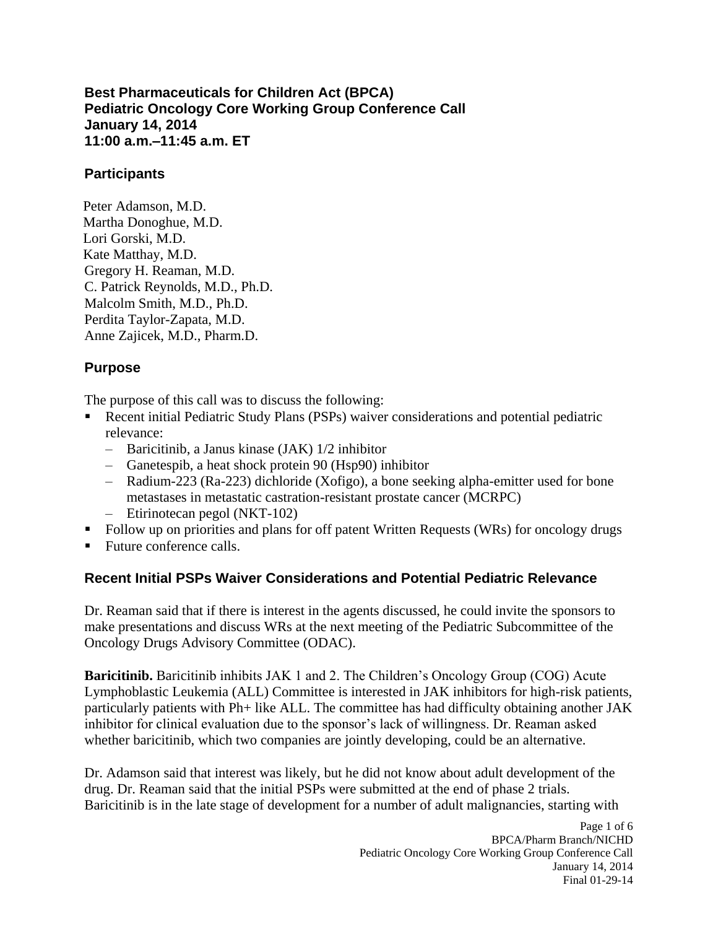**Best Pharmaceuticals for Children Act (BPCA) Pediatric Oncology Core Working Group Conference Call January 14, 2014 11:00 a.m.–11:45 a.m. ET** 

### **Participants**

Peter Adamson, M.D. Martha Donoghue, M.D. Lori Gorski, M.D. Kate Matthay, M.D. Gregory H. Reaman, M.D. C. Patrick Reynolds, M.D., Ph.D. Malcolm Smith, M.D., Ph.D. Perdita Taylor-Zapata, M.D. Anne Zajicek, M.D., Pharm.D.

## **Purpose**

The purpose of this call was to discuss the following:

- Recent initial Pediatric Study Plans (PSPs) waiver considerations and potential pediatric relevance:
	- – Baricitinib, a Janus kinase (JAK) 1/2 inhibitor
	- – Ganetespib, a heat shock protein 90 (Hsp90) inhibitor
	- metastases in metastatic castration-resistant prostate cancer (MCRPC) – Radium-223 (Ra-223) dichloride (Xofigo), a bone seeking alpha-emitter used for bone
	- Etirinotecan pegol (NKT-102)
- Follow up on priorities and plans for off patent Written Requests (WRs) for oncology drugs
- Future conference calls.

### **Recent Initial PSPs Waiver Considerations and Potential Pediatric Relevance**

Dr. Reaman said that if there is interest in the agents discussed, he could invite the sponsors to make presentations and discuss WRs at the next meeting of the Pediatric Subcommittee of the Oncology Drugs Advisory Committee (ODAC).

**Baricitinib.** Baricitinib inhibits JAK 1 and 2. The Children's Oncology Group (COG) Acute Lymphoblastic Leukemia (ALL) Committee is interested in JAK inhibitors for high-risk patients, particularly patients with Ph+ like ALL. The committee has had difficulty obtaining another JAK inhibitor for clinical evaluation due to the sponsor's lack of willingness. Dr. Reaman asked whether baricitinib, which two companies are jointly developing, could be an alternative.

Dr. Adamson said that interest was likely, but he did not know about adult development of the drug. Dr. Reaman said that the initial PSPs were submitted at the end of phase 2 trials. Baricitinib is in the late stage of development for a number of adult malignancies, starting with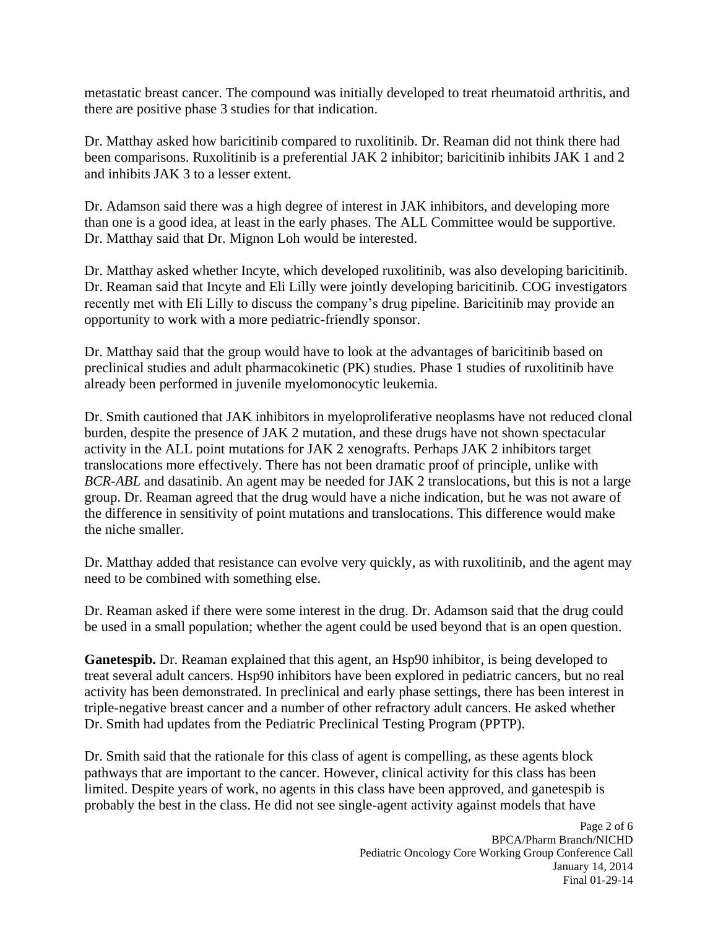metastatic breast cancer. The compound was initially developed to treat rheumatoid arthritis, and there are positive phase 3 studies for that indication.

and inhibits JAK 3 to a lesser extent. Dr. Matthay asked how baricitinib compared to ruxolitinib. Dr. Reaman did not think there had been comparisons. Ruxolitinib is a preferential JAK 2 inhibitor; baricitinib inhibits JAK 1 and 2

Dr. Adamson said there was a high degree of interest in JAK inhibitors, and developing more than one is a good idea, at least in the early phases. The ALL Committee would be supportive. Dr. Matthay said that Dr. Mignon Loh would be interested.

Dr. Matthay asked whether Incyte, which developed ruxolitinib, was also developing baricitinib. Dr. Reaman said that Incyte and Eli Lilly were jointly developing baricitinib. COG investigators recently met with Eli Lilly to discuss the company's drug pipeline. Baricitinib may provide an opportunity to work with a more pediatric-friendly sponsor.

Dr. Matthay said that the group would have to look at the advantages of baricitinib based on preclinical studies and adult pharmacokinetic (PK) studies. Phase 1 studies of ruxolitinib have already been performed in juvenile myelomonocytic leukemia.

 Dr. Smith cautioned that JAK inhibitors in myeloproliferative neoplasms have not reduced clonal burden, despite the presence of JAK 2 mutation, and these drugs have not shown spectacular activity in the ALL point mutations for JAK 2 xenografts. Perhaps JAK 2 inhibitors target translocations more effectively. There has not been dramatic proof of principle, unlike with *BCR-ABL* and dasatinib. An agent may be needed for JAK 2 translocations, but this is not a large group. Dr. Reaman agreed that the drug would have a niche indication, but he was not aware of the difference in sensitivity of point mutations and translocations. This difference would make the niche smaller.

Dr. Matthay added that resistance can evolve very quickly, as with ruxolitinib, and the agent may need to be combined with something else.

 be used in a small population; whether the agent could be used beyond that is an open question. Dr. Reaman asked if there were some interest in the drug. Dr. Adamson said that the drug could

**Ganetespib.** Dr. Reaman explained that this agent, an Hsp90 inhibitor, is being developed to treat several adult cancers. Hsp90 inhibitors have been explored in pediatric cancers, but no real activity has been demonstrated. In preclinical and early phase settings, there has been interest in triple-negative breast cancer and a number of other refractory adult cancers. He asked whether Dr. Smith had updates from the Pediatric Preclinical Testing Program (PPTP).

 probably the best in the class. He did not see single-agent activity against models that have Dr. Smith said that the rationale for this class of agent is compelling, as these agents block pathways that are important to the cancer. However, clinical activity for this class has been limited. Despite years of work, no agents in this class have been approved, and ganetespib is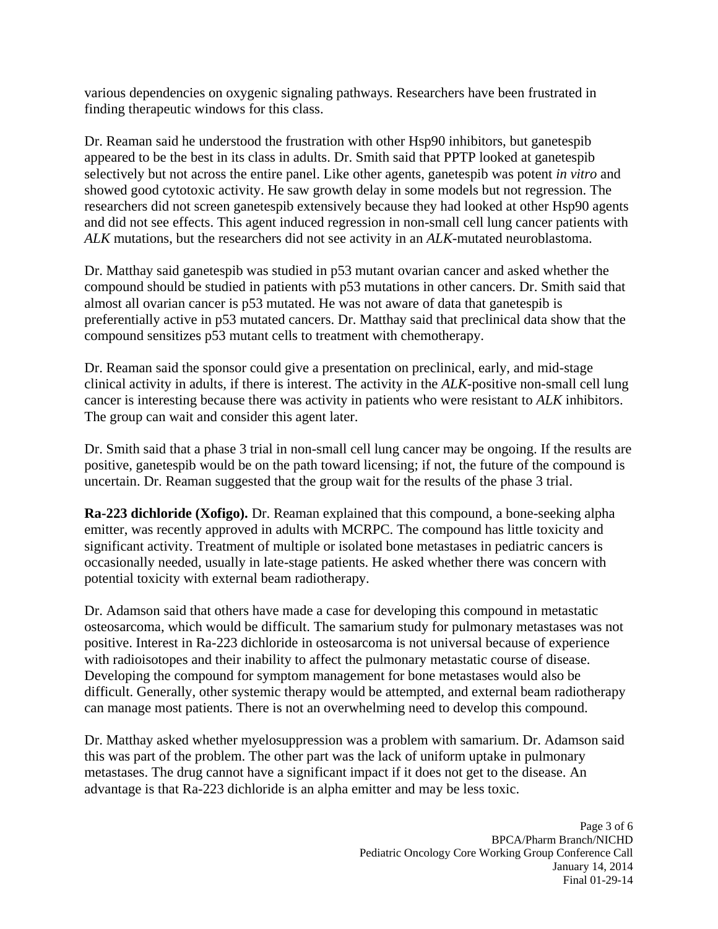various dependencies on oxygenic signaling pathways. Researchers have been frustrated in finding therapeutic windows for this class.

Dr. Reaman said he understood the frustration with other Hsp90 inhibitors, but ganetespib appeared to be the best in its class in adults. Dr. Smith said that PPTP looked at ganetespib selectively but not across the entire panel. Like other agents, ganetespib was potent *in vitro* and showed good cytotoxic activity. He saw growth delay in some models but not regression. The researchers did not screen ganetespib extensively because they had looked at other Hsp90 agents and did not see effects. This agent induced regression in non-small cell lung cancer patients with *ALK* mutations, but the researchers did not see activity in an *ALK*-mutated neuroblastoma.

Dr. Matthay said ganetespib was studied in p53 mutant ovarian cancer and asked whether the compound should be studied in patients with p53 mutations in other cancers. Dr. Smith said that almost all ovarian cancer is p53 mutated. He was not aware of data that ganetespib is preferentially active in p53 mutated cancers. Dr. Matthay said that preclinical data show that the compound sensitizes p53 mutant cells to treatment with chemotherapy.

Dr. Reaman said the sponsor could give a presentation on preclinical, early, and mid-stage clinical activity in adults, if there is interest. The activity in the *ALK*-positive non-small cell lung cancer is interesting because there was activity in patients who were resistant to *ALK* inhibitors. The group can wait and consider this agent later.

 Dr. Smith said that a phase 3 trial in non-small cell lung cancer may be ongoing. If the results are positive, ganetespib would be on the path toward licensing; if not, the future of the compound is uncertain. Dr. Reaman suggested that the group wait for the results of the phase 3 trial.

**Ra-223 dichloride (Xofigo).** Dr. Reaman explained that this compound, a bone-seeking alpha emitter, was recently approved in adults with MCRPC. The compound has little toxicity and significant activity. Treatment of multiple or isolated bone metastases in pediatric cancers is occasionally needed, usually in late-stage patients. He asked whether there was concern with potential toxicity with external beam radiotherapy.

Dr. Adamson said that others have made a case for developing this compound in metastatic osteosarcoma, which would be difficult. The samarium study for pulmonary metastases was not positive. Interest in Ra-223 dichloride in osteosarcoma is not universal because of experience with radioisotopes and their inability to affect the pulmonary metastatic course of disease. Developing the compound for symptom management for bone metastases would also be difficult. Generally, other systemic therapy would be attempted, and external beam radiotherapy can manage most patients. There is not an overwhelming need to develop this compound.

Dr. Matthay asked whether myelosuppression was a problem with samarium. Dr. Adamson said this was part of the problem. The other part was the lack of uniform uptake in pulmonary metastases. The drug cannot have a significant impact if it does not get to the disease. An advantage is that Ra-223 dichloride is an alpha emitter and may be less toxic.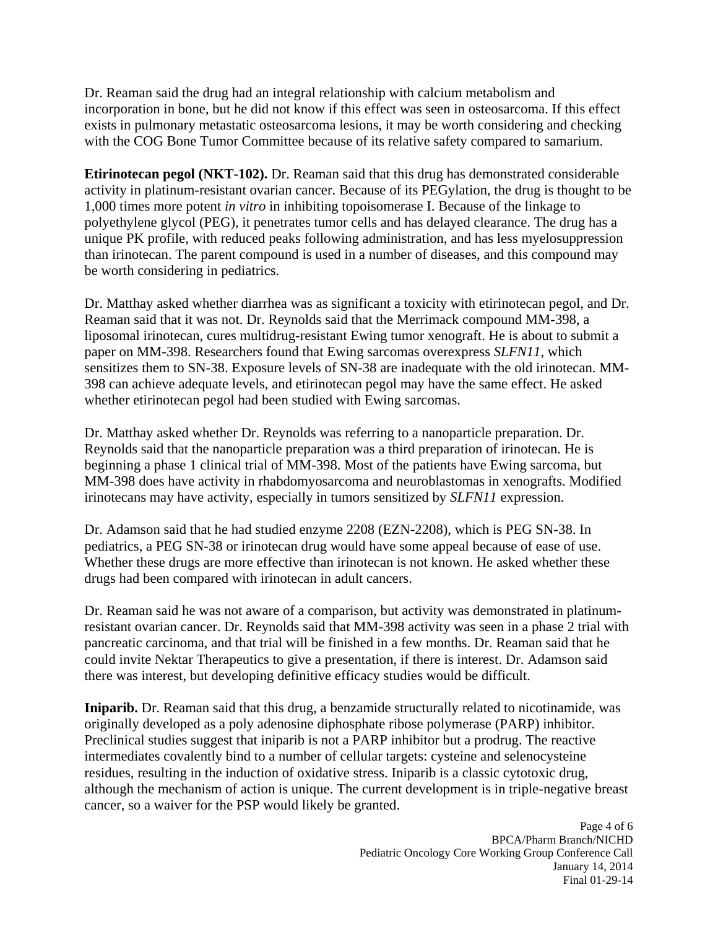Dr. Reaman said the drug had an integral relationship with calcium metabolism and incorporation in bone, but he did not know if this effect was seen in osteosarcoma. If this effect exists in pulmonary metastatic osteosarcoma lesions, it may be worth considering and checking with the COG Bone Tumor Committee because of its relative safety compared to samarium.

**Etirinotecan pegol (NKT-102).** Dr. Reaman said that this drug has demonstrated considerable activity in platinum-resistant ovarian cancer. Because of its PEGylation, the drug is thought to be 1,000 times more potent *in vitro* in inhibiting topoisomerase I. Because of the linkage to polyethylene glycol (PEG), it penetrates tumor cells and has delayed clearance. The drug has a unique PK profile, with reduced peaks following administration, and has less myelosuppression than irinotecan. The parent compound is used in a number of diseases, and this compound may be worth considering in pediatrics.

Dr. Matthay asked whether diarrhea was as significant a toxicity with etirinotecan pegol, and Dr. Reaman said that it was not. Dr. Reynolds said that the Merrimack compound MM-398, a liposomal irinotecan, cures multidrug-resistant Ewing tumor xenograft. He is about to submit a paper on MM-398. Researchers found that Ewing sarcomas overexpress *SLFN11,* which sensitizes them to SN-38. Exposure levels of SN-38 are inadequate with the old irinotecan. MM-398 can achieve adequate levels, and etirinotecan pegol may have the same effect. He asked whether etirinotecan pegol had been studied with Ewing sarcomas.

 irinotecans may have activity, especially in tumors sensitized by *SLFN11* expression. Dr. Matthay asked whether Dr. Reynolds was referring to a nanoparticle preparation. Dr. Reynolds said that the nanoparticle preparation was a third preparation of irinotecan. He is beginning a phase 1 clinical trial of MM-398. Most of the patients have Ewing sarcoma, but MM-398 does have activity in rhabdomyosarcoma and neuroblastomas in xenografts. Modified

Dr. Adamson said that he had studied enzyme 2208 (EZN-2208), which is PEG SN-38. In pediatrics, a PEG SN-38 or irinotecan drug would have some appeal because of ease of use. Whether these drugs are more effective than irinotecan is not known. He asked whether these drugs had been compared with irinotecan in adult cancers.

 Dr. Reaman said he was not aware of a comparison, but activity was demonstrated in platinumresistant ovarian cancer. Dr. Reynolds said that MM-398 activity was seen in a phase 2 trial with pancreatic carcinoma, and that trial will be finished in a few months. Dr. Reaman said that he could invite Nektar Therapeutics to give a presentation, if there is interest. Dr. Adamson said there was interest, but developing definitive efficacy studies would be difficult.

 intermediates covalently bind to a number of cellular targets: cysteine and selenocysteine **Iniparib.** Dr. Reaman said that this drug, a benzamide structurally related to nicotinamide, was originally developed as a poly adenosine diphosphate ribose polymerase (PARP) inhibitor. Preclinical studies suggest that iniparib is not a PARP inhibitor but a prodrug. The reactive residues, resulting in the induction of oxidative stress. Iniparib is a classic cytotoxic drug, although the mechanism of action is unique. The current development is in triple-negative breast cancer, so a waiver for the PSP would likely be granted.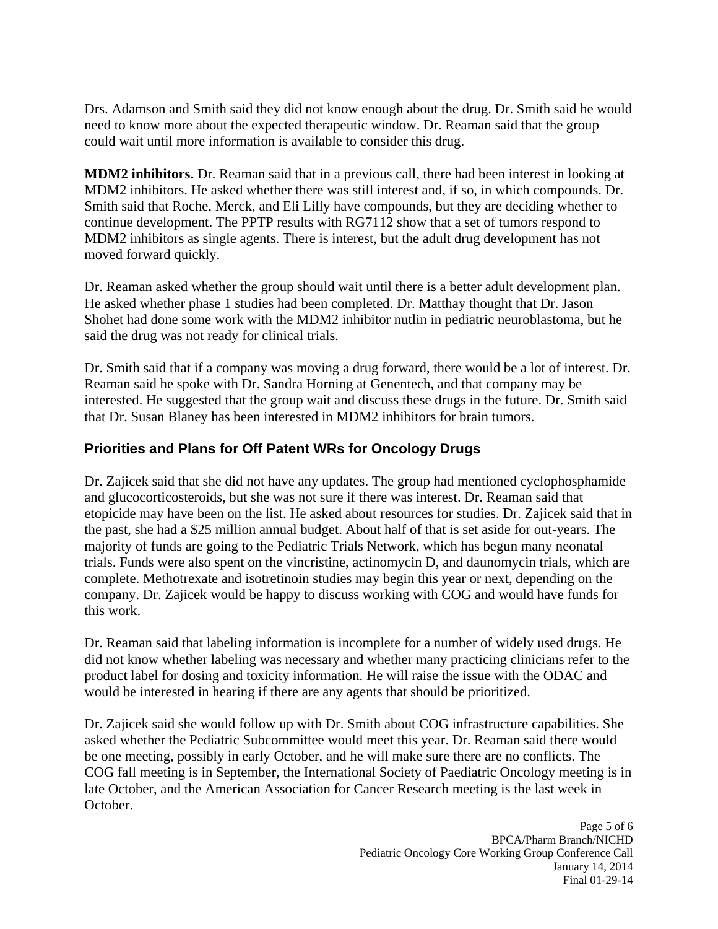could wait until more information is available to consider this drug. Drs. Adamson and Smith said they did not know enough about the drug. Dr. Smith said he would need to know more about the expected therapeutic window. Dr. Reaman said that the group

**MDM2 inhibitors.** Dr. Reaman said that in a previous call, there had been interest in looking at MDM2 inhibitors. He asked whether there was still interest and, if so, in which compounds. Dr. Smith said that Roche, Merck, and Eli Lilly have compounds, but they are deciding whether to continue development. The PPTP results with RG7112 show that a set of tumors respond to MDM2 inhibitors as single agents. There is interest, but the adult drug development has not moved forward quickly.

Dr. Reaman asked whether the group should wait until there is a better adult development plan. He asked whether phase 1 studies had been completed. Dr. Matthay thought that Dr. Jason Shohet had done some work with the MDM2 inhibitor nutlin in pediatric neuroblastoma, but he said the drug was not ready for clinical trials.

Dr. Smith said that if a company was moving a drug forward, there would be a lot of interest. Dr. Reaman said he spoke with Dr. Sandra Horning at Genentech, and that company may be interested. He suggested that the group wait and discuss these drugs in the future. Dr. Smith said that Dr. Susan Blaney has been interested in MDM2 inhibitors for brain tumors.

# **Priorities and Plans for Off Patent WRs for Oncology Drugs**

Dr. Zajicek said that she did not have any updates. The group had mentioned cyclophosphamide and glucocorticosteroids, but she was not sure if there was interest. Dr. Reaman said that etopicide may have been on the list. He asked about resources for studies. Dr. Zajicek said that in the past, she had a \$25 million annual budget. About half of that is set aside for out-years. The majority of funds are going to the Pediatric Trials Network, which has begun many neonatal trials. Funds were also spent on the vincristine, actinomycin D, and daunomycin trials, which are complete. Methotrexate and isotretinoin studies may begin this year or next, depending on the company. Dr. Zajicek would be happy to discuss working with COG and would have funds for this work.

Dr. Reaman said that labeling information is incomplete for a number of widely used drugs. He did not know whether labeling was necessary and whether many practicing clinicians refer to the product label for dosing and toxicity information. He will raise the issue with the ODAC and would be interested in hearing if there are any agents that should be prioritized.

Dr. Zajicek said she would follow up with Dr. Smith about COG infrastructure capabilities. She asked whether the Pediatric Subcommittee would meet this year. Dr. Reaman said there would be one meeting, possibly in early October, and he will make sure there are no conflicts. The COG fall meeting is in September, the International Society of Paediatric Oncology meeting is in late October, and the American Association for Cancer Research meeting is the last week in October.